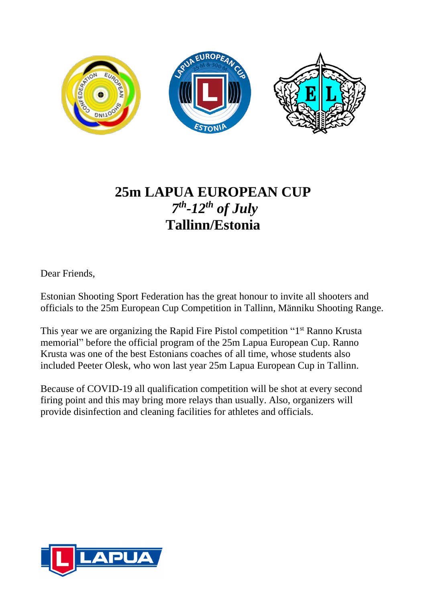

# **25m LAPUA EUROPEAN CUP** *7 th -12th of July* **Tallinn/Estonia**

Dear Friends,

Estonian Shooting Sport Federation has the great honour to invite all shooters and officials to the 25m European Cup Competition in Tallinn, Männiku Shooting Range.

This year we are organizing the Rapid Fire Pistol competition "1<sup>st</sup> Ranno Krusta memorial" before the official program of the 25m Lapua European Cup. Ranno Krusta was one of the best Estonians coaches of all time, whose students also included Peeter Olesk, who won last year 25m Lapua European Cup in Tallinn.

Because of COVID-19 all qualification competition will be shot at every second firing point and this may bring more relays than usually. Also, organizers will provide disinfection and cleaning facilities for athletes and officials.

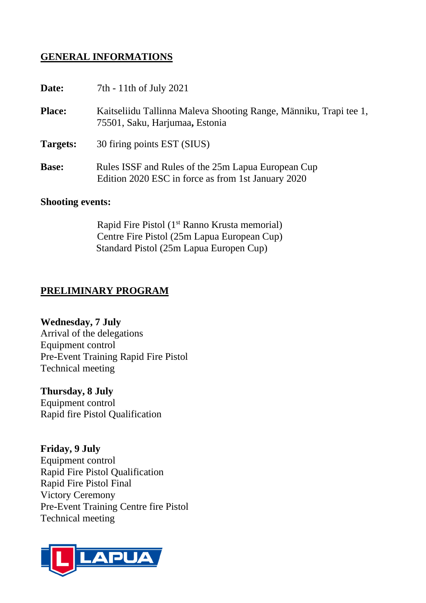## **GENERAL INFORMATIONS**

| Date:         | 7th - 11th of July 2021                                                                                  |
|---------------|----------------------------------------------------------------------------------------------------------|
| <b>Place:</b> | Kaitseliidu Tallinna Maleva Shooting Range, Männiku, Trapi tee 1,<br>75501, Saku, Harjumaa, Estonia      |
| Targets:      | 30 firing points EST (SIUS)                                                                              |
| <b>Base:</b>  | Rules ISSF and Rules of the 25m Lapua European Cup<br>Edition 2020 ESC in force as from 1st January 2020 |

#### **Shooting events:**

Rapid Fire Pistol (1<sup>st</sup> Ranno Krusta memorial) Centre Fire Pistol (25m Lapua European Cup) Standard Pistol (25m Lapua Europen Cup)

## **PRELIMINARY PROGRAM**

**Wednesday, 7 July** Arrival of the delegations Equipment control Pre-Event Training Rapid Fire Pistol Technical meeting

**Thursday, 8 July** Equipment control Rapid fire Pistol Qualification

**Friday, 9 July** Equipment control Rapid Fire Pistol Qualification Rapid Fire Pistol Final Victory Ceremony Pre-Event Training Centre fire Pistol Technical meeting

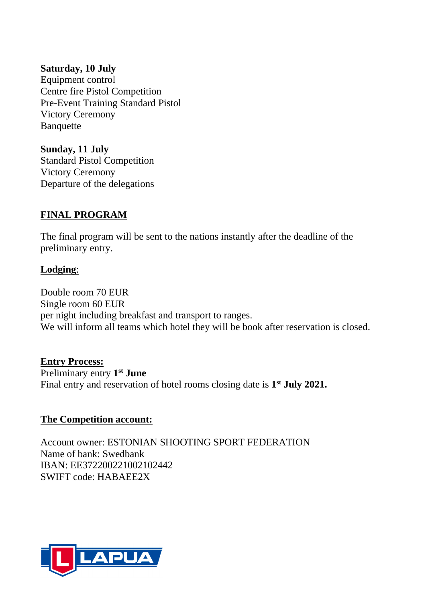#### **Saturday, 10 July**

Equipment control Centre fire Pistol Competition Pre-Event Training Standard Pistol Victory Ceremony Banquette

**Sunday, 11 July** Standard Pistol Competition Victory Ceremony Departure of the delegations

## **FINAL PROGRAM**

The final program will be sent to the nations instantly after the deadline of the preliminary entry.

### **Lodging**:

Double room 70 EUR Single room 60 EUR per night including breakfast and transport to ranges. We will inform all teams which hotel they will be book after reservation is closed.

#### **Entry Process:**

Preliminary entry **1 st June** Final entry and reservation of hotel rooms closing date is **1 st July 2021.**

#### **The Competition account:**

Account owner: ESTONIAN SHOOTING SPORT FEDERATION Name of bank: Swedbank IBAN: EE372200221002102442 SWIFT code: HABAEE2X